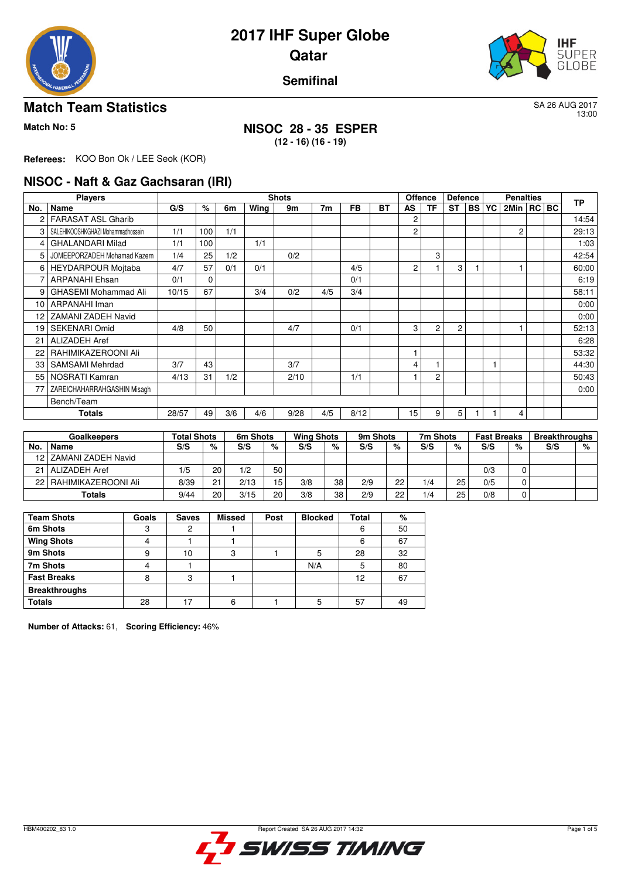



## **Semifinal**

## **Match Team Statistics** SA 26 AUG 2017

13:00

# **Match No: 5 NISOC 28 - 35 ESPER**

**(12 - 16) (16 - 19)**

**Referees:** KOO Bon Ok / LEE Seok (KOR)

### **NISOC - Naft & Gaz Gachsaran (IRI)**

|     | <b>Players</b>                    |       |             |     |      | <b>Shots</b> |     |           |           |                | <b>Offence</b><br><b>Defence</b> |           |           | <b>Penalties</b> |                |  |  | <b>TP</b> |
|-----|-----------------------------------|-------|-------------|-----|------|--------------|-----|-----------|-----------|----------------|----------------------------------|-----------|-----------|------------------|----------------|--|--|-----------|
| No. | Name                              | G/S   | %           | 6m  | Wing | 9m           | 7m  | <b>FB</b> | <b>BT</b> | AS             | <b>TF</b>                        | <b>ST</b> | <b>BS</b> | YC               | 2Min   RC   BC |  |  |           |
| 2   | <b>FARASAT ASL Gharib</b>         |       |             |     |      |              |     |           |           | 2              |                                  |           |           |                  |                |  |  | 14:54     |
| 3   | SALEHIKOOSHKGHAZI Mohammadhossein | 1/1   | 100         | 1/1 |      |              |     |           |           | 2              |                                  |           |           |                  | $\overline{c}$ |  |  | 29:13     |
| 4   | <b>GHALANDARI Milad</b>           | 1/1   | 100         |     | 1/1  |              |     |           |           |                |                                  |           |           |                  |                |  |  | 1:03      |
| 5   | JOMEEPORZADEH Mohamad Kazem       | 1/4   | 25          | 1/2 |      | 0/2          |     |           |           |                | 3                                |           |           |                  |                |  |  | 42:54     |
| 6   | HEYDARPOUR Mojtaba                | 4/7   | 57          | 0/1 | 0/1  |              |     | 4/5       |           | $\overline{c}$ |                                  | 3         |           |                  |                |  |  | 60:00     |
|     | <b>ARPANAHI Ehsan</b>             | 0/1   | $\mathbf 0$ |     |      |              |     | 0/1       |           |                |                                  |           |           |                  |                |  |  | 6:19      |
| 9   | <b>GHASEMI Mohammad Ali</b>       | 10/15 | 67          |     | 3/4  | 0/2          | 4/5 | 3/4       |           |                |                                  |           |           |                  |                |  |  | 58:11     |
| 10  | <b>ARPANAHI Iman</b>              |       |             |     |      |              |     |           |           |                |                                  |           |           |                  |                |  |  | 0:00      |
| 12  | <b>ZAMANI ZADEH Navid</b>         |       |             |     |      |              |     |           |           |                |                                  |           |           |                  |                |  |  | 0:00      |
| 19  | <b>SEKENARI Omid</b>              | 4/8   | 50          |     |      | 4/7          |     | 0/1       |           | 3              | 2                                | 2         |           |                  |                |  |  | 52:13     |
| 21  | <b>ALIZADEH Aref</b>              |       |             |     |      |              |     |           |           |                |                                  |           |           |                  |                |  |  | 6:28      |
| 22  | RAHIMIKAZEROONI Ali               |       |             |     |      |              |     |           |           |                |                                  |           |           |                  |                |  |  | 53:32     |
| 33  | SAMSAMI Mehrdad                   | 3/7   | 43          |     |      | 3/7          |     |           |           | 4              |                                  |           |           |                  |                |  |  | 44:30     |
| 55  | NOSRATI Kamran                    | 4/13  | 31          | 1/2 |      | 2/10         |     | 1/1       |           |                | 2                                |           |           |                  |                |  |  | 50:43     |
| 77  | ZAREICHAHARRAHGASHIN Misagh       |       |             |     |      |              |     |           |           |                |                                  |           |           |                  |                |  |  | 0:00      |
|     | Bench/Team                        |       |             |     |      |              |     |           |           |                |                                  |           |           |                  |                |  |  |           |
|     | Totals                            | 28/57 | 49          | 3/6 | 4/6  | 9/28         | 4/5 | 8/12      |           | 15             | 9                                | 5         |           |                  | 4              |  |  |           |

|     | Goalkeepers              |      | Total Shots |      | 6m Shots |     | <b>Wing Shots</b> |     | 9m Shots |     | 7m Shots | <b>Fast Breaks</b> |   | <b>Breakthroughs</b> |   |
|-----|--------------------------|------|-------------|------|----------|-----|-------------------|-----|----------|-----|----------|--------------------|---|----------------------|---|
| No. | Name                     | S/S  | %           | S/S  | %        | S/S | %                 | S/S | %        | S/S | %        | S/S                | % | S/S                  | % |
|     | 12 ZAMANI ZADEH Navid    |      |             |      |          |     |                   |     |          |     |          |                    |   |                      |   |
|     | 21   ALIZADEH Aref       | 1/5  | 20          | 1/2  | 50       |     |                   |     |          |     |          | 0/3                |   |                      |   |
|     | 22   RAHIMIKAZEROONI Ali | 8/39 | ሳ1          | 2/13 | 15       | 3/8 | 38                | 2/9 | 22       | 1/4 | 25       | 0/5                |   |                      |   |
|     | Totals                   | 9/44 | 20          | 3/15 | 20       | 3/8 | 38                | 2/9 | 22       | 1/4 | 25       | 0/8                |   |                      |   |

| <b>Team Shots</b>    | Goals | <b>Saves</b> | <b>Missed</b> | Post | <b>Blocked</b> | Total | %  |
|----------------------|-------|--------------|---------------|------|----------------|-------|----|
| 6m Shots             | ◠     |              |               |      |                | 6     | 50 |
| <b>Wing Shots</b>    |       |              |               |      |                | 6     | 67 |
| 9m Shots             | 9     | 10           | 3             |      | 5              | 28    | 32 |
| 7m Shots             |       |              |               |      | N/A            | 5     | 80 |
| <b>Fast Breaks</b>   | 8     | 3            |               |      |                | 12    | 67 |
| <b>Breakthroughs</b> |       |              |               |      |                |       |    |
| <b>Totals</b>        | 28    | 7            | 6             |      | 5              | 57    | 49 |

**Number of Attacks:** 61, **Scoring Efficiency:** 46%

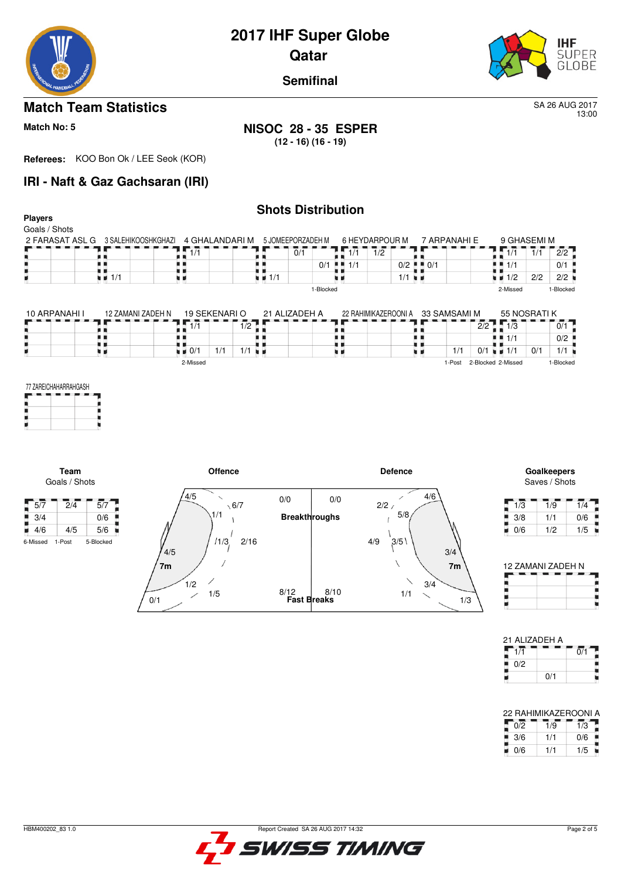

13:00

**Semifinal**

# **Match Team Statistics** SA 26 AUG 2017

ш

### **Match No: 5 NISOC 28 - 35 ESPER (12 - 16) (16 - 19)**

**Referees:** KOO Bon Ok / LEE Seok (KOR)

0/1

1/5

# **IRI - Naft & Gaz Gachsaran (IRI)**

### **Shots Distribution Players** Goals / Shots 9 GHASEMI M 2 FARASAT ASL G 3 SALEHIKOOSHKGHAZI 4 GHALANDARI M 6 HEYDARPOUR M 7 ARPANAHI E 5 JOMEEPORZADEH M  $\frac{9}{1/1}$   $\frac{1}{1/1}$   $\frac{1}{1/1}$   $\frac{2}{2}$ <br> $\frac{1}{1/1}$   $\frac{0}{1/1}$   $\frac{0}{1/2}$  $1/1$   $2/2$ 1/1 0/1  $1/1$  1/2 0/1  $1/1$  0/2 0/1  $1/2$  2/2 2/2 1/1 1/1 1/1 1-Blocked 2-Missed 1-Blocked 10 ARPANAHI | 12 ZAMANI ZADEH N 19 SEKENARI O 21 ALIZADEH A 22 RAHIMIKAZEROONIA 33 SAMSAMI M 55 NOSRATI K<br>173 1 - 173 1  $\frac{1}{1/2}$ 2/2 1/3 0/1 ł, ł. ł, ł,  $1/1$  0/2  $\frac{1}{1/1}$  0/1  $\frac{1}{2}$  1/1 t i U ۱ĭ  $\frac{1}{2}$  0/1 1/1 1/1 H.  $0/1$  1/1 2-Missed 1-Post 2-Blocked 2-Missed 1-Blocked 77 ZAREICHAHARRAHGASH **Team Offence Defence Goalkeepers** Saves / Shots Goals / Shots  $4/5$ 4/6  $\overline{a}$  $0/0$  $0/0$  $5/7$   $2/4$   $5/7$  $\backslash$  6/7  $2/2$ 1/1 5/8  $3/4$  0/6 **Breakthroughs** š j  $\overline{1}$ 4/6 4/5 5/6  $\overline{\phantom{a}}$ 6-Missed 1-Post 5-Blocked  $1/3$ ,  $2/16$  $4/9$   $3/5$  $4/5$ 3/4 **7m 7m**  $1/2$ 3/4

8/12



8/10

1/1

| 1/3 | 1/9 | 1/4 |
|-----|-----|-----|
| 3/8 | 1/1 | 0/6 |
| 0/6 | 1/2 | 1/5 |

| 12 ZAMANI ZADEH N |  |  |  |  |  |  |  |
|-------------------|--|--|--|--|--|--|--|
|                   |  |  |  |  |  |  |  |
|                   |  |  |  |  |  |  |  |
|                   |  |  |  |  |  |  |  |
|                   |  |  |  |  |  |  |  |

| 21 ALIZADEH A |     |     |
|---------------|-----|-----|
| 1/1           |     | 0/1 |
| 0/2           |     |     |
|               | 0/1 |     |

| 22 RAHIMIKAZEROONI A |     |     |  |  |  |  |  |  |
|----------------------|-----|-----|--|--|--|--|--|--|
| 0/2                  | 1/9 | 1/3 |  |  |  |  |  |  |
| 3/6                  | 1/1 | 0/6 |  |  |  |  |  |  |
| 0/6                  | 1/1 | 1/5 |  |  |  |  |  |  |

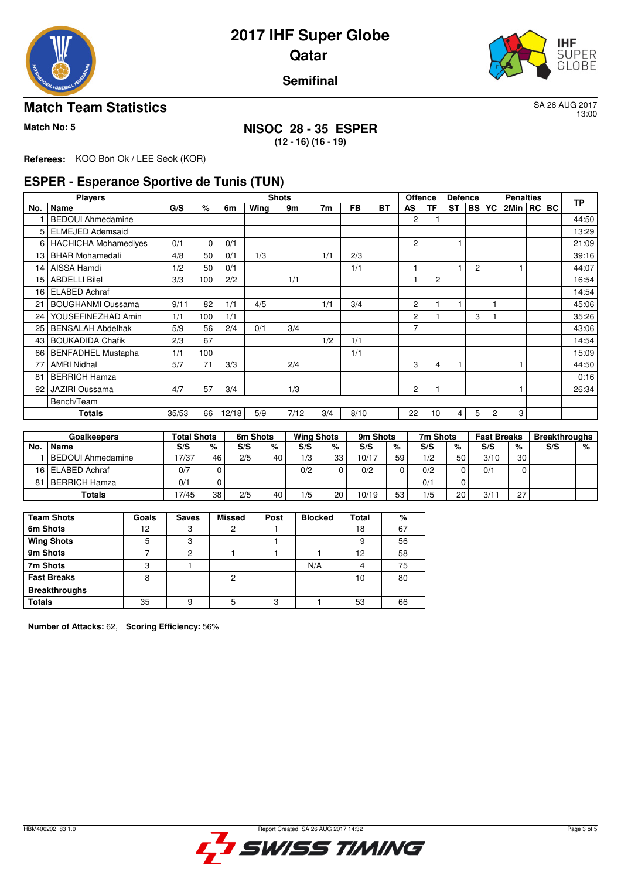



**Semifinal**

## **Match Team Statistics** SA 26 AUG 2017

13:00

# **Match No: 5 NISOC 28 - 35 ESPER**

**(12 - 16) (16 - 19)**

**Referees:** KOO Bon Ok / LEE Seok (KOR)

## **ESPER - Esperance Sportive de Tunis (TUN)**

|     | <b>Players</b>              |      |             |       |      | <b>Shots</b> |     |           |           |                | <b>Offence</b><br><b>Defence</b> |           |                | <b>Penalties</b> |                |  |  | <b>TP</b> |
|-----|-----------------------------|------|-------------|-------|------|--------------|-----|-----------|-----------|----------------|----------------------------------|-----------|----------------|------------------|----------------|--|--|-----------|
| No. | Name                        | G/S  | ℅           | 6m    | Wing | 9m           | 7m  | <b>FB</b> | <b>BT</b> | <b>AS</b>      | TF                               | <b>ST</b> | <b>BS</b>      | <b>YC</b>        | 2Min   RC   BC |  |  |           |
|     | <b>BEDOUI Ahmedamine</b>    |      |             |       |      |              |     |           |           | 2              |                                  |           |                |                  |                |  |  | 44:50     |
| 5   | <b>ELMEJED Ademsaid</b>     |      |             |       |      |              |     |           |           |                |                                  |           |                |                  |                |  |  | 13:29     |
| 6   | <b>HACHICHA Mohamedlyes</b> | 0/1  | $\mathbf 0$ | 0/1   |      |              |     |           |           | 2              |                                  |           |                |                  |                |  |  | 21:09     |
| 13  | <b>BHAR Mohamedali</b>      | 4/8  | 50          | 0/1   | 1/3  |              | 1/1 | 2/3       |           |                |                                  |           |                |                  |                |  |  | 39:16     |
| 14  | AISSA Hamdi                 | 1/2  | 50          | 0/1   |      |              |     | 1/1       |           |                |                                  |           | $\overline{c}$ |                  |                |  |  | 44:07     |
| 15  | <b>ABDELLI Bilel</b>        | 3/3  | 100         | 2/2   |      | 1/1          |     |           |           |                | $\overline{2}$                   |           |                |                  |                |  |  | 16:54     |
| 16  | <b>ELABED Achraf</b>        |      |             |       |      |              |     |           |           |                |                                  |           |                |                  |                |  |  | 14:54     |
| 21  | <b>BOUGHANMI Oussama</b>    | 9/11 | 82          | 1/1   | 4/5  |              | 1/1 | 3/4       |           | $\overline{c}$ |                                  |           |                |                  |                |  |  | 45.06     |
| 24  | YOUSEFINEZHAD Amin          | 1/1  | 100         | 1/1   |      |              |     |           |           | 2              |                                  |           | 3              |                  |                |  |  | 35.26     |
| 25  | <b>BENSALAH Abdelhak</b>    | 5/9  | 56          | 2/4   | 0/1  | 3/4          |     |           |           | 7              |                                  |           |                |                  |                |  |  | 43:06     |
| 43  | <b>BOUKADIDA Chafik</b>     | 2/3  | 67          |       |      |              | 1/2 | 1/1       |           |                |                                  |           |                |                  |                |  |  | 14:54     |
| 66  | <b>BENFADHEL Mustapha</b>   | 1/1  | 100         |       |      |              |     | 1/1       |           |                |                                  |           |                |                  |                |  |  | 15:09     |
| 77  | <b>AMRI Nidhal</b>          | 5/7  | 71          | 3/3   |      | 2/4          |     |           |           | 3              | 4                                |           |                |                  |                |  |  | 44:50     |
| 81  | <b>BERRICH Hamza</b>        |      |             |       |      |              |     |           |           |                |                                  |           |                |                  |                |  |  | 0:16      |
| 92  | <b>JAZIRI Oussama</b>       | 4/7  | 57          | 3/4   |      | 1/3          |     |           |           | 2              |                                  |           |                |                  |                |  |  | 26:34     |
|     | Bench/Team                  |      |             |       |      |              |     |           |           |                |                                  |           |                |                  |                |  |  |           |
|     | Totals                      |      | 66          | 12/18 | 5/9  | 7/12         | 3/4 | 8/10      |           | 22             | 10                               | 4         | 5              | 2                | 3              |  |  |           |

|     | Goalkeepers              | <b>Total Shots</b> |    | 6m Shots |    | <b>Wing Shots</b> |    | 9m Shots |    | 7m Shots |          | <b>Fast Breaks</b> |                 | <b>Breakthroughs</b> |   |
|-----|--------------------------|--------------------|----|----------|----|-------------------|----|----------|----|----------|----------|--------------------|-----------------|----------------------|---|
| No. | Name                     | S/S                | %  | S/S      | %  | S/S               | %  | S/S      | %  | S/S      | %        | S/S                | %               | S/S                  | % |
|     | <b>BEDOUI Ahmedamine</b> | 17/37              | 46 | 2/5      | 40 | 1/3               | 33 | 10/17    | 59 | 1/2      | 50       | 3/10               | 30 <sub>1</sub> |                      |   |
|     | 16 ELABED Achraf         | 0/7                |    |          |    | 0/2               |    | 0/2      |    | 0/2      | $\Omega$ | 0/1                |                 |                      |   |
| 81  | BERRICH Hamza            | 0'                 |    |          |    |                   |    |          |    | 0'       | 0        |                    |                 |                      |   |
|     | Totals                   | 17/45              | 38 | 2/5      | 40 | 1/5               | 20 | 10/19    | 53 | 1/5      | 20       | 3/11               | 27              |                      |   |

| <b>Team Shots</b>    | Goals | <b>Saves</b> | <b>Missed</b> | Post | <b>Blocked</b> | Total | %  |
|----------------------|-------|--------------|---------------|------|----------------|-------|----|
| 6m Shots             | 12    |              |               |      |                | 18    | 67 |
| <b>Wing Shots</b>    | 5     | 3            |               |      |                | 9     | 56 |
| 9m Shots             |       | c            |               |      |                | 12    | 58 |
| 7m Shots             |       |              |               |      | N/A            |       | 75 |
| <b>Fast Breaks</b>   | 8     |              | 2             |      |                | 10    | 80 |
| <b>Breakthroughs</b> |       |              |               |      |                |       |    |
| <b>Totals</b>        | 35    |              |               | c    |                | 53    | 66 |

**Number of Attacks:** 62, **Scoring Efficiency:** 56%

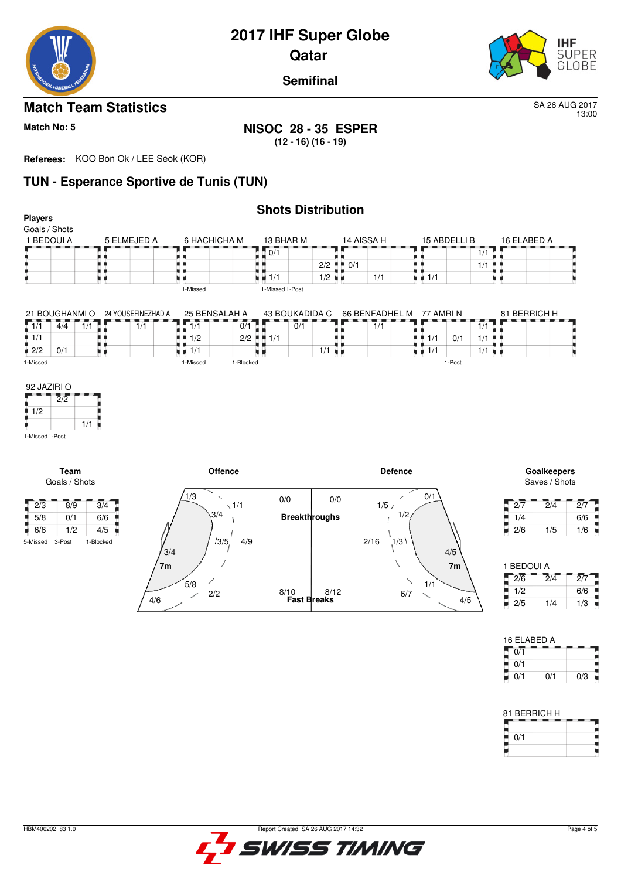

13:00

**Semifinal**

# **Match Team Statistics** SA 26 AUG 2017

**Match No: 5 NISOC 28 - 35 ESPER (12 - 16) (16 - 19)**

**Referees:** KOO Bon Ok / LEE Seok (KOR)

# **TUN - Esperance Sportive de Tunis (TUN)**

4/6

2/2

| <b>Players</b>                       |                                    |                             |                       |                                   |                              |                                   | <b>Shots Distribution</b>   |                                         |            |                             |                                   |              |                      |                            |                             |                 |
|--------------------------------------|------------------------------------|-----------------------------|-----------------------|-----------------------------------|------------------------------|-----------------------------------|-----------------------------|-----------------------------------------|------------|-----------------------------|-----------------------------------|--------------|----------------------|----------------------------|-----------------------------|-----------------|
| Goals / Shots<br>1 BEDOUI A          |                                    | 5 ELMEJED A                 |                       | 6 HACHICHA M                      |                              | 13 BHAR M                         |                             |                                         | 14 AISSA H |                             |                                   | 15 ABDELLI B |                      | 16 ELABED A                |                             |                 |
|                                      |                                    | . .                         |                       |                                   |                              | $\sqrt{0/1}$                      |                             |                                         |            |                             |                                   |              | $\overline{1}/1$     |                            |                             |                 |
|                                      |                                    | . .<br>. .                  |                       |                                   |                              | . .                               |                             | $2/2$ $\blacksquare$ $\blacksquare$ 0/1 |            |                             |                                   |              | $1/1$ $\blacksquare$ |                            |                             |                 |
|                                      |                                    | uк                          |                       |                                   |                              | $\blacksquare$ $\blacksquare$ 1/1 |                             | $1/2$ $\blacksquare$                    |            | 1/1                         | $\blacksquare$ $\blacksquare$ 1/1 |              |                      | u 1                        |                             |                 |
|                                      |                                    |                             |                       | 1-Missed                          |                              | 1-Missed 1-Post                   |                             |                                         |            |                             |                                   |              |                      |                            |                             |                 |
|                                      | 21 BOUGHANMI O                     | 24 YOUSEFINEZHAD A          |                       | 25 BENSALAH A                     |                              |                                   | 43 BOUKADIDA C              |                                         |            | 66 BENFADHEL M              | 77 AMRI N                         |              |                      |                            | 81 BERRICH H                |                 |
| $\sqrt{1/1}$                         | $\overline{4}/\overline{4}$<br>1/1 | $\overline{1}/\overline{1}$ |                       | $\overline{11/1}$                 | 0/1                          |                                   | $\overline{0}/\overline{1}$ |                                         |            | $\overline{1}/\overline{1}$ |                                   |              | $\overline{1/1}$     |                            |                             |                 |
| $\frac{1}{4}$ 1/1                    |                                    | . .                         |                       | $\blacksquare$ 1/2<br>٠           |                              | $2/2$ $\blacksquare$ 1/1          |                             |                                         |            |                             | $+ 1/1$                           | 0/1          | $1/1$                |                            |                             |                 |
| $\blacksquare$ 2/2                   | 0/1                                | . .<br>W 16                 |                       | $\blacksquare$ $\blacksquare$ 1/1 |                              | . .                               |                             | $1/1$ $\blacksquare$                    |            |                             | $\blacksquare$ $\blacksquare$ 1/1 |              | $1/1$ $\blacksquare$ |                            |                             |                 |
| 1-Missed                             |                                    |                             |                       | 1-Missed                          | 1-Blocked                    |                                   |                             |                                         |            |                             |                                   | 1-Post       |                      |                            |                             |                 |
| $\frac{1}{2}$ 1/2<br>1-Missed 1-Post | 1/1<br>Team                        |                             |                       |                                   | <b>Offence</b>               |                                   |                             |                                         |            | <b>Defence</b>              |                                   |              |                      |                            | Goalkeepers                 |                 |
|                                      | Goals / Shots                      |                             |                       |                                   |                              |                                   |                             |                                         |            |                             |                                   |              |                      |                            | Saves / Shots               |                 |
| $\sqrt{2/3}$                         | 8/9                                | $\overline{3}/4$            |                       | 1/3                               | $\checkmark$<br>$\sqrt{1/1}$ | 0/0                               |                             | 0/0                                     |            | 1/5/                        | 0/1<br>╱                          |              |                      | $\overline{27}$            | $\overline{2}/4$            | $\overline{27}$ |
| 5/8                                  | 0/1                                | 6/6                         |                       | 3/4                               |                              |                                   | <b>Breakthroughs</b>        |                                         |            |                             | 1/2                               |              |                      | 1/4                        |                             | 6/6             |
| $-6/6$                               | 1/2                                | 4/5                         |                       |                                   |                              |                                   |                             |                                         |            |                             |                                   |              |                      | 2/6<br>u.                  | 1/5                         | 1/6             |
| 5-Missed                             | 3-Post                             | 1-Blocked                   | 3/4<br>7 <sub>m</sub> |                                   | 4/9<br>13/5,                 |                                   |                             |                                         |            | 2/16<br>1/3                 |                                   | 4/5<br>7m    |                      | 1 BEDOUI A<br>$\sqrt{2/6}$ | $\overline{2}/\overline{4}$ | $\overline{27}$ |
|                                      |                                    |                             |                       | $5/8$                             |                              |                                   |                             |                                         |            |                             | 1/1                               |              |                      |                            |                             |                 |

**Fast Breaks** 8/10

8/12

| 1 BEDOUI A |                  |     |
|------------|------------------|-----|
| 2/6        | $2/\overline{4}$ | 2/7 |
| 1/2        |                  | 6/6 |
| 2/5        | 1/4              | 1/3 |

4/5

6/7

| 16 ELABED A |     |     |  |  |  |  |  |
|-------------|-----|-----|--|--|--|--|--|
| 0/1         |     |     |  |  |  |  |  |
| 0/1         |     |     |  |  |  |  |  |
| 0/1         | 0/1 | 0/3 |  |  |  |  |  |

| 81 BERRICH H |  |  |  |  |  |  |  |
|--------------|--|--|--|--|--|--|--|
|              |  |  |  |  |  |  |  |
| 0/1          |  |  |  |  |  |  |  |